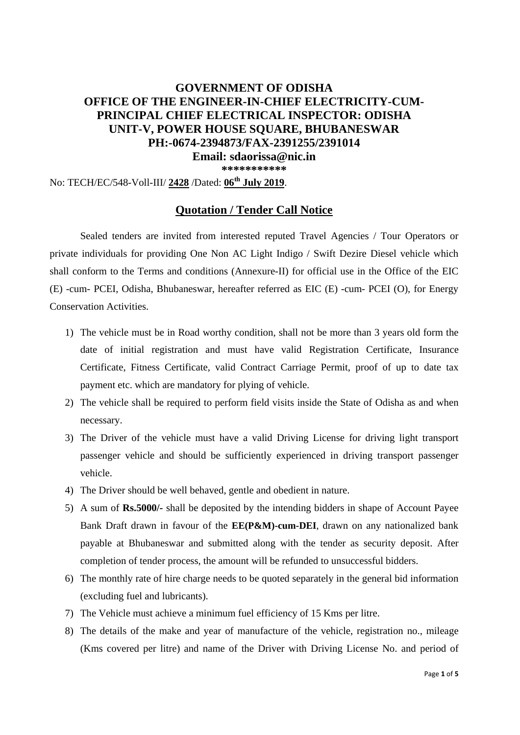# **GOVERNMENT OF ODISHA OFFICE OF THE ENGINEER-IN-CHIEF ELECTRICITY-CUM-PRINCIPAL CHIEF ELECTRICAL INSPECTOR: ODISHA UNIT-V, POWER HOUSE SQUARE, BHUBANESWAR PH:-0674-2394873/FAX-2391255/2391014 Email: sdaorissa@nic.in**

**\*\*\*\*\*\*\*\*\*\*\*** 

No: TECH/EC/548-Voll-III/ **2428** /Dated: **06th July 2019**.

### **Quotation / Tender Call Notice**

Sealed tenders are invited from interested reputed Travel Agencies / Tour Operators or private individuals for providing One Non AC Light Indigo / Swift Dezire Diesel vehicle which shall conform to the Terms and conditions (Annexure-II) for official use in the Office of the EIC (E) -cum- PCEI, Odisha, Bhubaneswar, hereafter referred as EIC (E) -cum- PCEI (O), for Energy Conservation Activities.

- 1) The vehicle must be in Road worthy condition, shall not be more than 3 years old form the date of initial registration and must have valid Registration Certificate, Insurance Certificate, Fitness Certificate, valid Contract Carriage Permit, proof of up to date tax payment etc. which are mandatory for plying of vehicle.
- 2) The vehicle shall be required to perform field visits inside the State of Odisha as and when necessary.
- 3) The Driver of the vehicle must have a valid Driving License for driving light transport passenger vehicle and should be sufficiently experienced in driving transport passenger vehicle.
- 4) The Driver should be well behaved, gentle and obedient in nature.
- 5) A sum of **Rs.5000/-** shall be deposited by the intending bidders in shape of Account Payee Bank Draft drawn in favour of the **EE(P&M)-cum-DEI**, drawn on any nationalized bank payable at Bhubaneswar and submitted along with the tender as security deposit. After completion of tender process, the amount will be refunded to unsuccessful bidders.
- 6) The monthly rate of hire charge needs to be quoted separately in the general bid information (excluding fuel and lubricants).
- 7) The Vehicle must achieve a minimum fuel efficiency of 15 Kms per litre.
- 8) The details of the make and year of manufacture of the vehicle, registration no., mileage (Kms covered per litre) and name of the Driver with Driving License No. and period of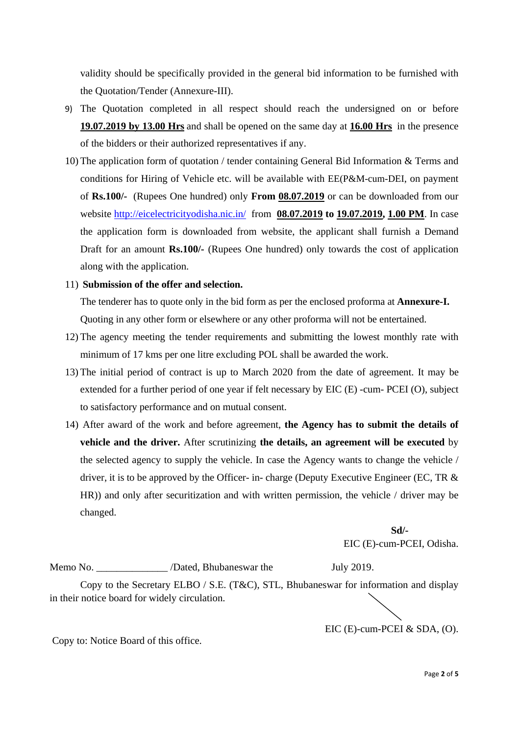validity should be specifically provided in the general bid information to be furnished with the Quotation/Tender (Annexure-III).

- 9) The Quotation completed in all respect should reach the undersigned on or before **19.07.2019 by 13.00 Hrs** and shall be opened on the same day at **16.00 Hrs** in the presence of the bidders or their authorized representatives if any.
- 10) The application form of quotation / tender containing General Bid Information & Terms and conditions for Hiring of Vehicle etc. will be available with EE(P&M-cum-DEI, on payment of **Rs.100/-** (Rupees One hundred) only **From 08.07.2019** or can be downloaded from our website http://eicelectricityodisha.nic.in/ from **08.07.2019 to 19.07.2019, 1.00 PM**. In case the application form is downloaded from website, the applicant shall furnish a Demand Draft for an amount **Rs.100/-** (Rupees One hundred) only towards the cost of application along with the application.

#### 11) **Submission of the offer and selection.**

The tenderer has to quote only in the bid form as per the enclosed proforma at **Annexure-I.** Quoting in any other form or elsewhere or any other proforma will not be entertained.

- 12) The agency meeting the tender requirements and submitting the lowest monthly rate with minimum of 17 kms per one litre excluding POL shall be awarded the work.
- 13) The initial period of contract is up to March 2020 from the date of agreement. It may be extended for a further period of one year if felt necessary by EIC (E) -cum- PCEI (O), subject to satisfactory performance and on mutual consent.
- 14) After award of the work and before agreement, **the Agency has to submit the details of vehicle and the driver.** After scrutinizing **the details, an agreement will be executed** by the selected agency to supply the vehicle. In case the Agency wants to change the vehicle / driver, it is to be approved by the Officer- in- charge (Deputy Executive Engineer (EC, TR  $\&$ HR)) and only after securitization and with written permission, the vehicle / driver may be changed.

 **Sd/-**  EIC (E)-cum-PCEI, Odisha.

Memo No. \_\_\_\_\_\_\_\_\_\_\_\_\_\_ /Dated, Bhubaneswar the July 2019.

Copy to the Secretary ELBO / S.E. (T&C), STL, Bhubaneswar for information and display in their notice board for widely circulation.

EIC (E)-cum-PCEI & SDA, (O).

Copy to: Notice Board of this office.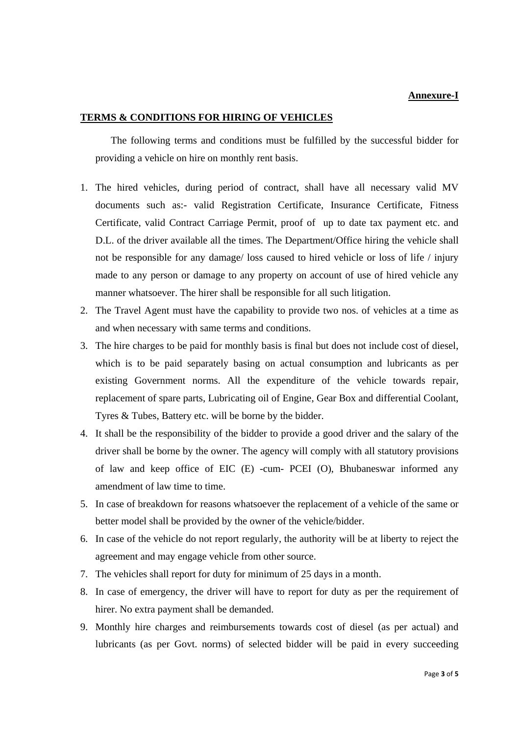#### **Annexure-I**

#### **TERMS & CONDITIONS FOR HIRING OF VEHICLES**

The following terms and conditions must be fulfilled by the successful bidder for providing a vehicle on hire on monthly rent basis.

- 1. The hired vehicles, during period of contract, shall have all necessary valid MV documents such as:- valid Registration Certificate, Insurance Certificate, Fitness Certificate, valid Contract Carriage Permit, proof of up to date tax payment etc. and D.L. of the driver available all the times. The Department/Office hiring the vehicle shall not be responsible for any damage/ loss caused to hired vehicle or loss of life / injury made to any person or damage to any property on account of use of hired vehicle any manner whatsoever. The hirer shall be responsible for all such litigation.
- 2. The Travel Agent must have the capability to provide two nos. of vehicles at a time as and when necessary with same terms and conditions.
- 3. The hire charges to be paid for monthly basis is final but does not include cost of diesel, which is to be paid separately basing on actual consumption and lubricants as per existing Government norms. All the expenditure of the vehicle towards repair, replacement of spare parts, Lubricating oil of Engine, Gear Box and differential Coolant, Tyres & Tubes, Battery etc. will be borne by the bidder.
- 4. It shall be the responsibility of the bidder to provide a good driver and the salary of the driver shall be borne by the owner. The agency will comply with all statutory provisions of law and keep office of EIC (E) -cum- PCEI (O), Bhubaneswar informed any amendment of law time to time.
- 5. In case of breakdown for reasons whatsoever the replacement of a vehicle of the same or better model shall be provided by the owner of the vehicle/bidder.
- 6. In case of the vehicle do not report regularly, the authority will be at liberty to reject the agreement and may engage vehicle from other source.
- 7. The vehicles shall report for duty for minimum of 25 days in a month.
- 8. In case of emergency, the driver will have to report for duty as per the requirement of hirer. No extra payment shall be demanded.
- 9. Monthly hire charges and reimbursements towards cost of diesel (as per actual) and lubricants (as per Govt. norms) of selected bidder will be paid in every succeeding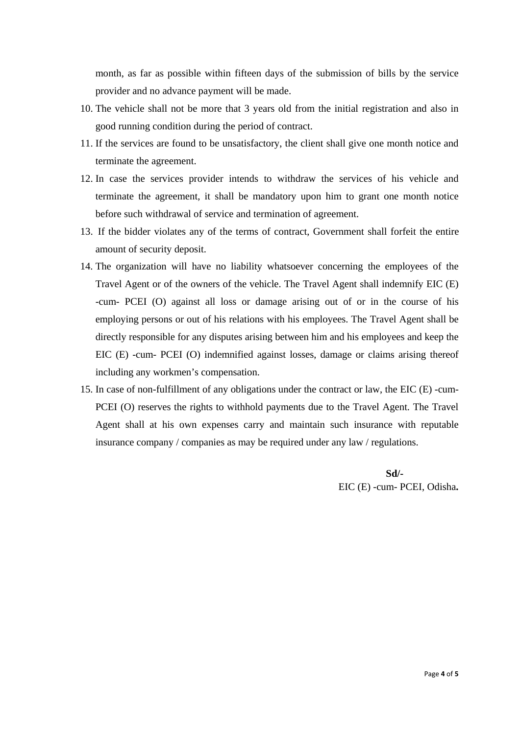month, as far as possible within fifteen days of the submission of bills by the service provider and no advance payment will be made.

- 10. The vehicle shall not be more that 3 years old from the initial registration and also in good running condition during the period of contract.
- 11. If the services are found to be unsatisfactory, the client shall give one month notice and terminate the agreement.
- 12. In case the services provider intends to withdraw the services of his vehicle and terminate the agreement, it shall be mandatory upon him to grant one month notice before such withdrawal of service and termination of agreement.
- 13. If the bidder violates any of the terms of contract, Government shall forfeit the entire amount of security deposit.
- 14. The organization will have no liability whatsoever concerning the employees of the Travel Agent or of the owners of the vehicle. The Travel Agent shall indemnify EIC (E) -cum- PCEI (O) against all loss or damage arising out of or in the course of his employing persons or out of his relations with his employees. The Travel Agent shall be directly responsible for any disputes arising between him and his employees and keep the EIC (E) -cum- PCEI (O) indemnified against losses, damage or claims arising thereof including any workmen's compensation.
- 15. In case of non-fulfillment of any obligations under the contract or law, the EIC (E) -cum-PCEI (O) reserves the rights to withhold payments due to the Travel Agent. The Travel Agent shall at his own expenses carry and maintain such insurance with reputable insurance company / companies as may be required under any law / regulations.

 **Sd/-**  EIC (E) -cum- PCEI, Odisha**.**